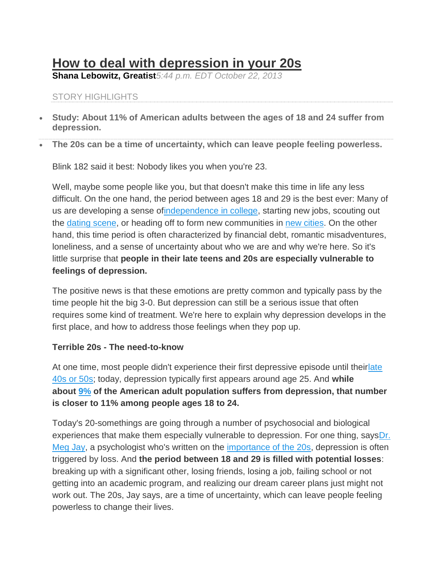# **How to deal with depression in your 20s**

**Shana Lebowitz, Greatist***5:44 p.m. EDT October 22, 2013*

### STORY HIGHLIGHTS

- **Study: About 11% of American adults between the ages of 18 and 24 suffer from depression.**
- **The 20s can be a time of uncertainty, which can leave people feeling powerless.**

Blink 182 said it best: Nobody likes you when you're 23.

Well, maybe some people like you, but that doesn't make this time in life any less difficult. On the one hand, the period between ages 18 and 29 is the best ever: Many of us are developing a sense o[findependence in college,](http://greatist.com/happiness/tips-for-living-away-from-home) starting new jobs, scouting out the [dating scene,](http://greatist.com/dating) or heading off to form new communities in [new cities.](http://greatist.com/health/20-best-cities-20-somethings) On the other hand, this time period is often characterized by financial debt, romantic misadventures, loneliness, and a sense of uncertainty about who we are and why we're here. So it's little surprise that **people in their late teens and 20s are especially vulnerable to feelings of depression.**

The positive news is that these emotions are pretty common and typically pass by the time people hit the big 3-0. But depression can still be a serious issue that often requires some kind of treatment. We're here to explain why depression develops in the first place, and how to address those feelings when they pop up.

## **Terrible 20s - The need-to-know**

At one time, most people didn't experience their first depressive episode until theirlate [40s or 50s;](http://www.pbs.org/wgbh/takeonestep/depression/ask-causes_3.html) today, depression typically first appears around age 25. And **while about [9%](http://www.cdc.gov/mmwr/preview/mmwrhtml/mm5938a2.htm?s_cid=mm5938a2_w#tab1) of the American adult population suffers from depression, that number is closer to 11% among people ages 18 to 24.**

Today's 20-somethings are going through a number of psychosocial and biological experiences that make them especially vulnerable to depression. For one thing, saysDr. [Meg Jay,](http://www.drmegjay.com/) a psychologist who's written on the [importance of the 20s,](http://greatist.com/happiness/why-your-20s-will-define-you) depression is often triggered by loss. And **the period between 18 and 29 is filled with potential losses**: breaking up with a significant other, losing friends, losing a job, failing school or not getting into an academic program, and realizing our dream career plans just might not work out. The 20s, Jay says, are a time of uncertainty, which can leave people feeling powerless to change their lives.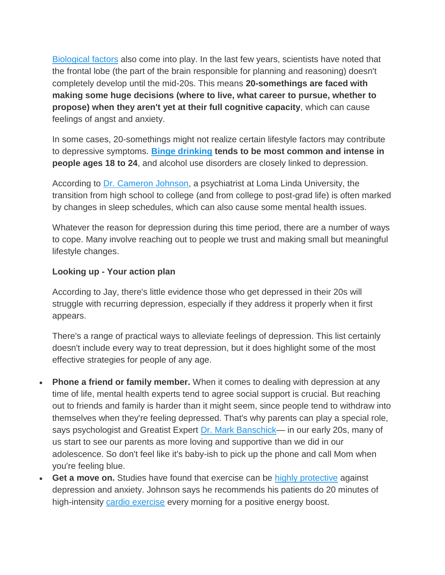[Biological factors](http://faculty.washington.edu/chudler/lobe.html) also come into play. In the last few years, scientists have noted that the frontal lobe (the part of the brain responsible for planning and reasoning) doesn't completely develop until the mid-20s. This means **20-somethings are faced with making some huge decisions (where to live, what career to pursue, whether to propose) when they aren't yet at their full cognitive capacity**, which can cause feelings of angst and anxiety.

In some cases, 20-somethings might not realize certain lifestyle factors may contribute to depressive symptoms. **[Binge drinking](http://www.cdc.gov/mmwr/preview/mmwrhtml/mm6101a4.htm?s_cid=mm6101a4_w) tends to be most common and intense in people ages 18 to 24**, and alcohol use disorders are closely linked to depression.

According to [Dr. Cameron Johnson,](http://lomalindahealth.org/medical-center/our-services/psychiatry/for-health-care-professionals/residency/faculty.page) a psychiatrist at Loma Linda University, the transition from high school to college (and from college to post-grad life) is often marked by changes in sleep schedules, which can also cause some mental health issues.

Whatever the reason for depression during this time period, there are a number of ways to cope. Many involve reaching out to people we trust and making small but meaningful lifestyle changes.

## **Looking up - Your action plan**

According to Jay, there's little evidence those who get depressed in their 20s will struggle with recurring depression, especially if they address it properly when it first appears.

There's a range of practical ways to alleviate feelings of depression. This list certainly doesn't include every way to treat depression, but it does highlight some of the most effective strategies for people of any age.

- **Phone a friend or family member.** When it comes to dealing with depression at any time of life, mental health experts tend to agree social support is crucial. But reaching out to friends and family is harder than it might seem, since people tend to withdraw into themselves when they're feeling depressed. That's why parents can play a special role, says psychologist and Greatist Expert [Dr. Mark Banschick—](http://greatist.com/p/mark-banschick) in our early 20s, many of us start to see our parents as more loving and supportive than we did in our adolescence. So don't feel like it's baby-ish to pick up the phone and call Mom when you're feeling blue.
- Get a move on. Studies have found that exercise can be [highly protective](http://greatist.com/happiness/can-exercise-help-treat-depression) against depression and anxiety. Johnson says he recommends his patients do 20 minutes of high-intensity [cardio exercise](http://greatist.com/cardio) every morning for a positive energy boost.